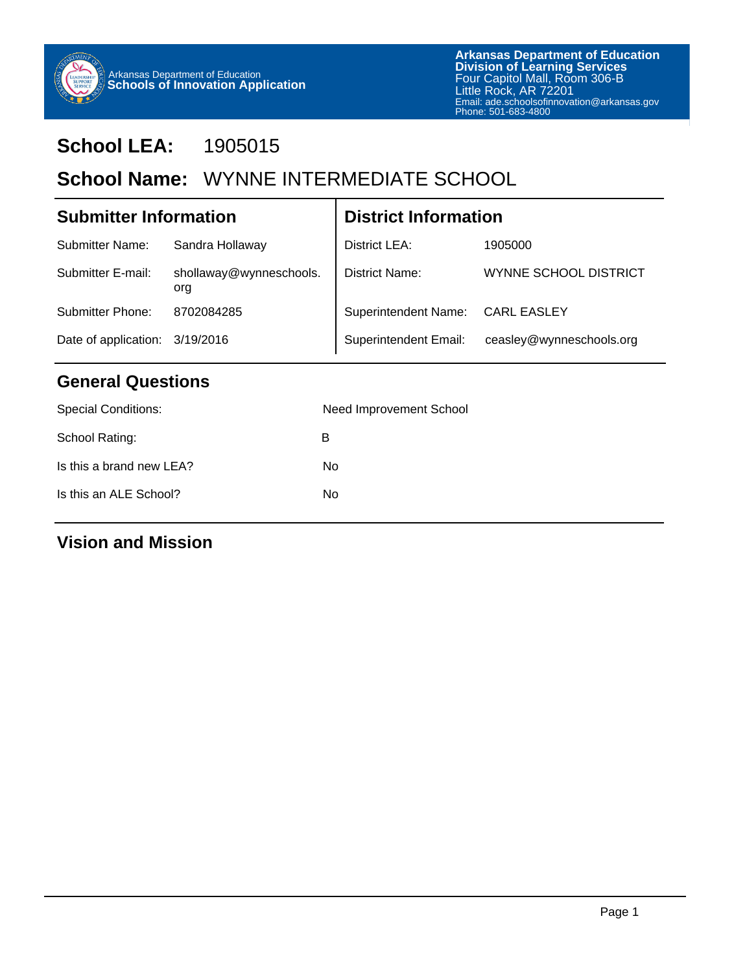

# **School LEA:** 1905015

# School Name: WYNNE INTERMEDIATE SCHOOL

| <b>Submitter Information</b> |                                | <b>District Information</b> |                          |  |
|------------------------------|--------------------------------|-----------------------------|--------------------------|--|
| <b>Submitter Name:</b>       | Sandra Hollaway                | District LEA:               | 1905000                  |  |
| Submitter E-mail:            | shollaway@wynneschools.<br>org | District Name:              | WYNNE SCHOOL DISTRICT    |  |
| Submitter Phone:             | 8702084285                     | <b>Superintendent Name:</b> | <b>CARL EASLEY</b>       |  |
|                              | Date of application: 3/19/2016 |                             | ceasley@wynneschools.org |  |

## **General Questions**

| <b>Special Conditions:</b> | Need Improvement School |
|----------------------------|-------------------------|
| School Rating:             | B                       |
| Is this a brand new LEA?   | No                      |
| Is this an ALE School?     | No                      |
|                            |                         |

#### **Vision and Mission**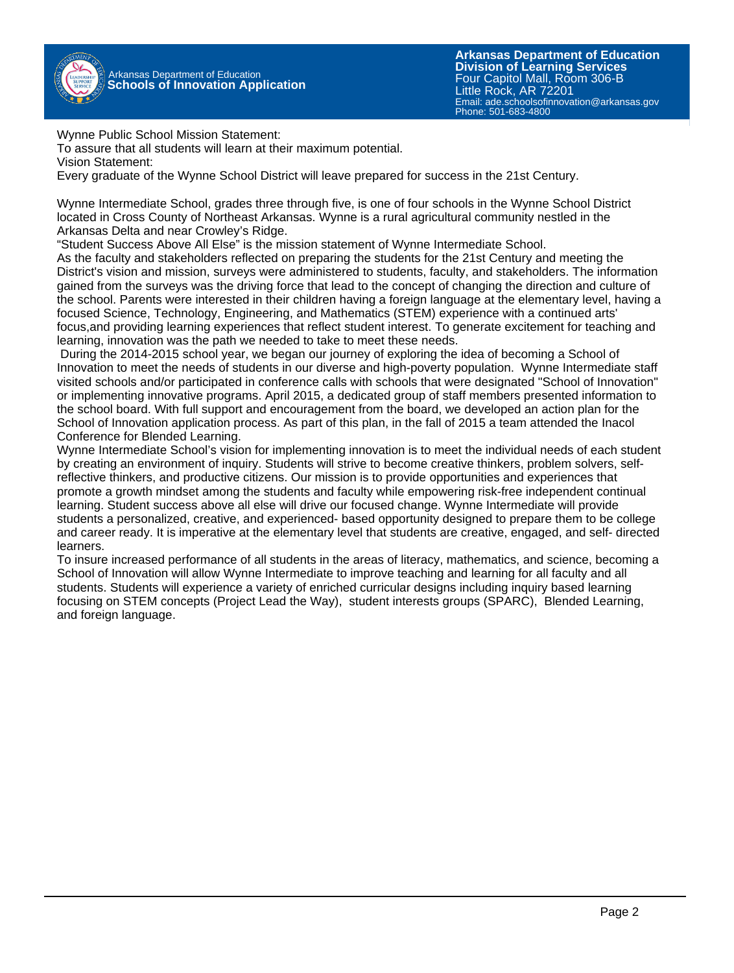

Wynne Public School Mission Statement:

To assure that all students will learn at their maximum potential.

Vision Statement:

Every graduate of the Wynne School District will leave prepared for success in the 21st Century.

Wynne Intermediate School, grades three through five, is one of four schools in the Wynne School District located in Cross County of Northeast Arkansas. Wynne is a rural agricultural community nestled in the Arkansas Delta and near Crowley's Ridge.

"Student Success Above All Else" is the mission statement of Wynne Intermediate School.

As the faculty and stakeholders reflected on preparing the students for the 21st Century and meeting the District's vision and mission, surveys were administered to students, faculty, and stakeholders. The information gained from the surveys was the driving force that lead to the concept of changing the direction and culture of the school. Parents were interested in their children having a foreign language at the elementary level, having a focused Science, Technology, Engineering, and Mathematics (STEM) experience with a continued arts' focus,and providing learning experiences that reflect student interest. To generate excitement for teaching and learning, innovation was the path we needed to take to meet these needs.

 During the 2014-2015 school year, we began our journey of exploring the idea of becoming a School of Innovation to meet the needs of students in our diverse and high-poverty population. Wynne Intermediate staff visited schools and/or participated in conference calls with schools that were designated "School of Innovation" or implementing innovative programs. April 2015, a dedicated group of staff members presented information to the school board. With full support and encouragement from the board, we developed an action plan for the School of Innovation application process. As part of this plan, in the fall of 2015 a team attended the Inacol Conference for Blended Learning.

Wynne Intermediate School's vision for implementing innovation is to meet the individual needs of each student by creating an environment of inquiry. Students will strive to become creative thinkers, problem solvers, selfreflective thinkers, and productive citizens. Our mission is to provide opportunities and experiences that promote a growth mindset among the students and faculty while empowering risk-free independent continual learning. Student success above all else will drive our focused change. Wynne Intermediate will provide students a personalized, creative, and experienced- based opportunity designed to prepare them to be college and career ready. It is imperative at the elementary level that students are creative, engaged, and self- directed learners.

To insure increased performance of all students in the areas of literacy, mathematics, and science, becoming a School of Innovation will allow Wynne Intermediate to improve teaching and learning for all faculty and all students. Students will experience a variety of enriched curricular designs including inquiry based learning focusing on STEM concepts (Project Lead the Way), student interests groups (SPARC), Blended Learning, and foreign language.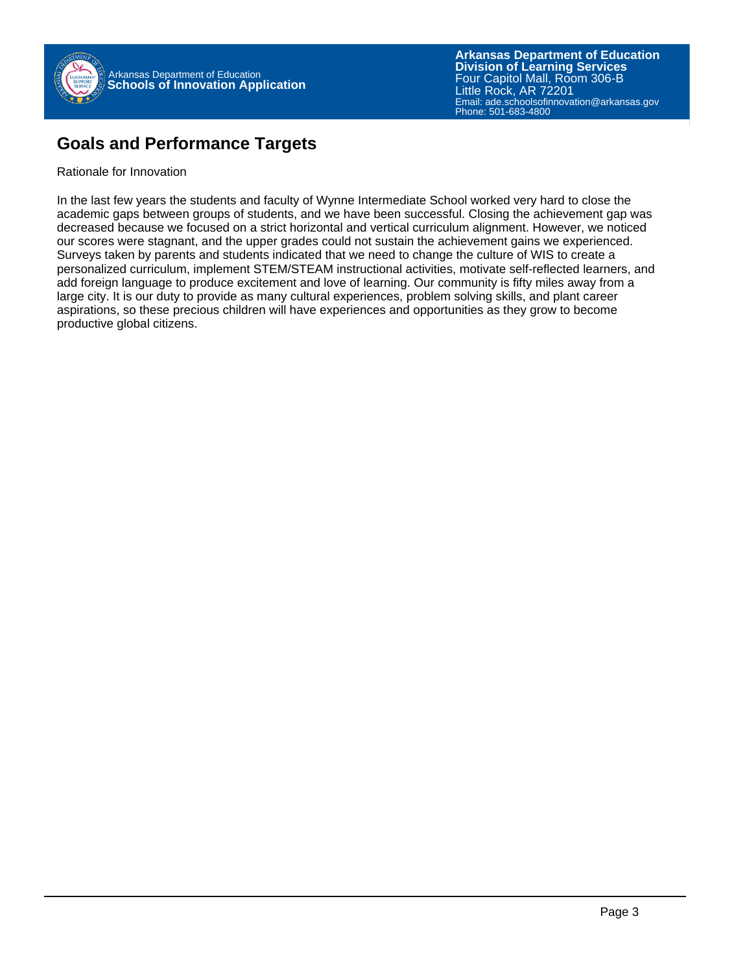

### **Goals and Performance Targets**

Rationale for Innovation

In the last few years the students and faculty of Wynne Intermediate School worked very hard to close the academic gaps between groups of students, and we have been successful. Closing the achievement gap was decreased because we focused on a strict horizontal and vertical curriculum alignment. However, we noticed our scores were stagnant, and the upper grades could not sustain the achievement gains we experienced. Surveys taken by parents and students indicated that we need to change the culture of WIS to create a personalized curriculum, implement STEM/STEAM instructional activities, motivate self-reflected learners, and add foreign language to produce excitement and love of learning. Our community is fifty miles away from a large city. It is our duty to provide as many cultural experiences, problem solving skills, and plant career aspirations, so these precious children will have experiences and opportunities as they grow to become productive global citizens.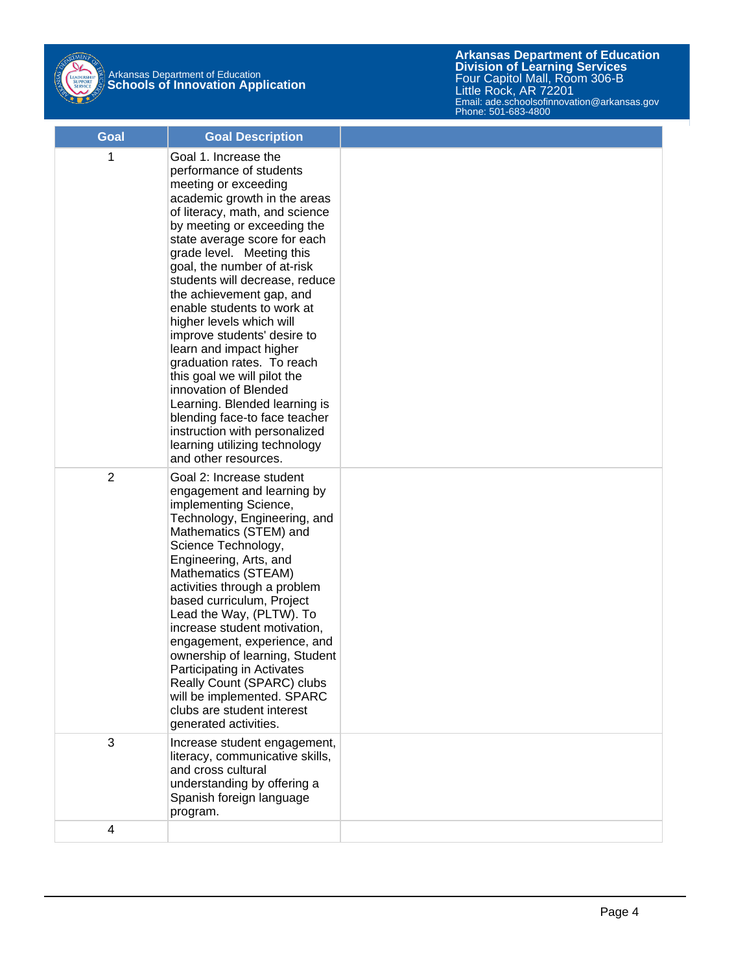

| Goal | <b>Goal Description</b>                                                                                                                                                                                                                                                                                                                                                                                                                                                                                                                                                                                                                                                                                  |  |
|------|----------------------------------------------------------------------------------------------------------------------------------------------------------------------------------------------------------------------------------------------------------------------------------------------------------------------------------------------------------------------------------------------------------------------------------------------------------------------------------------------------------------------------------------------------------------------------------------------------------------------------------------------------------------------------------------------------------|--|
| 1    | Goal 1. Increase the<br>performance of students<br>meeting or exceeding<br>academic growth in the areas<br>of literacy, math, and science<br>by meeting or exceeding the<br>state average score for each<br>grade level. Meeting this<br>goal, the number of at-risk<br>students will decrease, reduce<br>the achievement gap, and<br>enable students to work at<br>higher levels which will<br>improve students' desire to<br>learn and impact higher<br>graduation rates. To reach<br>this goal we will pilot the<br>innovation of Blended<br>Learning. Blended learning is<br>blending face-to face teacher<br>instruction with personalized<br>learning utilizing technology<br>and other resources. |  |
| 2    | Goal 2: Increase student<br>engagement and learning by<br>implementing Science,<br>Technology, Engineering, and<br>Mathematics (STEM) and<br>Science Technology,<br>Engineering, Arts, and<br>Mathematics (STEAM)<br>activities through a problem<br>based curriculum, Project<br>Lead the Way, (PLTW). To<br>increase student motivation,<br>engagement, experience, and<br>ownership of learning, Student<br>Participating in Activates<br>Really Count (SPARC) clubs<br>will be implemented. SPARC<br>clubs are student interest<br>generated activities.                                                                                                                                             |  |
| 3    | Increase student engagement,<br>literacy, communicative skills,<br>and cross cultural<br>understanding by offering a<br>Spanish foreign language<br>program.                                                                                                                                                                                                                                                                                                                                                                                                                                                                                                                                             |  |
| 4    |                                                                                                                                                                                                                                                                                                                                                                                                                                                                                                                                                                                                                                                                                                          |  |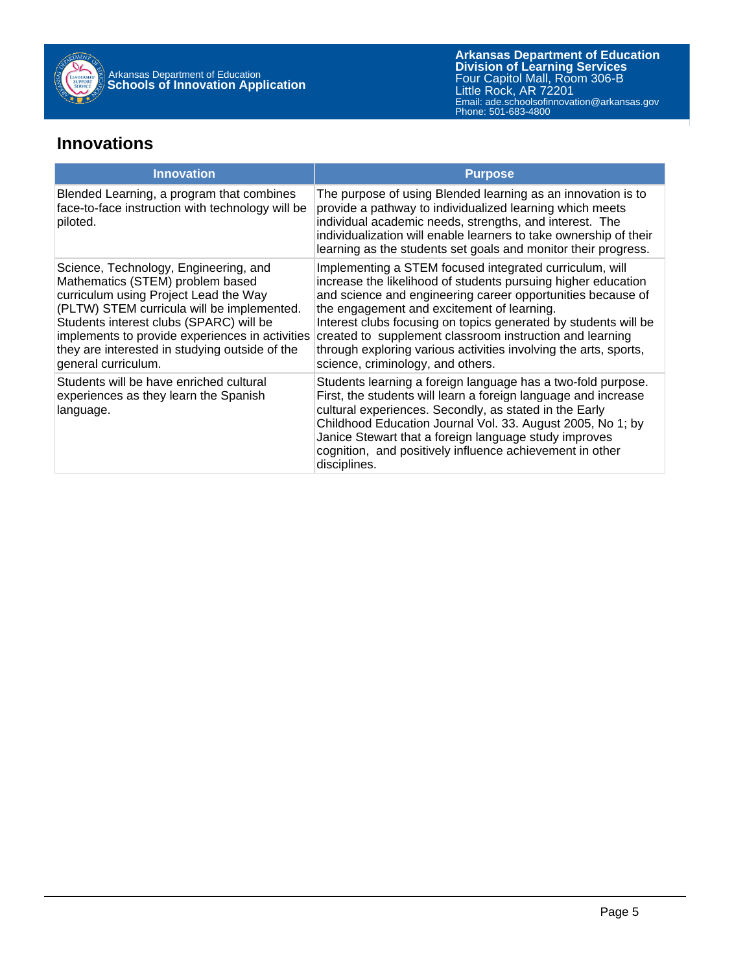

#### **Innovations**

| <b>Innovation</b>                                                                                                                                                                                                                                                                                                                       | <b>Purpose</b>                                                                                                                                                                                                                                                                                                                                                                                                                                                                |
|-----------------------------------------------------------------------------------------------------------------------------------------------------------------------------------------------------------------------------------------------------------------------------------------------------------------------------------------|-------------------------------------------------------------------------------------------------------------------------------------------------------------------------------------------------------------------------------------------------------------------------------------------------------------------------------------------------------------------------------------------------------------------------------------------------------------------------------|
| Blended Learning, a program that combines<br>face-to-face instruction with technology will be<br>piloted.                                                                                                                                                                                                                               | The purpose of using Blended learning as an innovation is to<br>provide a pathway to individualized learning which meets<br>individual academic needs, strengths, and interest. The<br>individualization will enable learners to take ownership of their<br>learning as the students set goals and monitor their progress.                                                                                                                                                    |
| Science, Technology, Engineering, and<br>Mathematics (STEM) problem based<br>curriculum using Project Lead the Way<br>(PLTW) STEM curricula will be implemented.<br>Students interest clubs (SPARC) will be<br>implements to provide experiences in activities<br>they are interested in studying outside of the<br>general curriculum. | Implementing a STEM focused integrated curriculum, will<br>increase the likelihood of students pursuing higher education<br>and science and engineering career opportunities because of<br>the engagement and excitement of learning.<br>Interest clubs focusing on topics generated by students will be<br>created to supplement classroom instruction and learning<br>through exploring various activities involving the arts, sports,<br>science, criminology, and others. |
| Students will be have enriched cultural<br>experiences as they learn the Spanish<br>language.                                                                                                                                                                                                                                           | Students learning a foreign language has a two-fold purpose.<br>First, the students will learn a foreign language and increase<br>cultural experiences. Secondly, as stated in the Early<br>Childhood Education Journal Vol. 33. August 2005, No 1; by<br>Janice Stewart that a foreign language study improves<br>cognition, and positively influence achievement in other<br>disciplines.                                                                                   |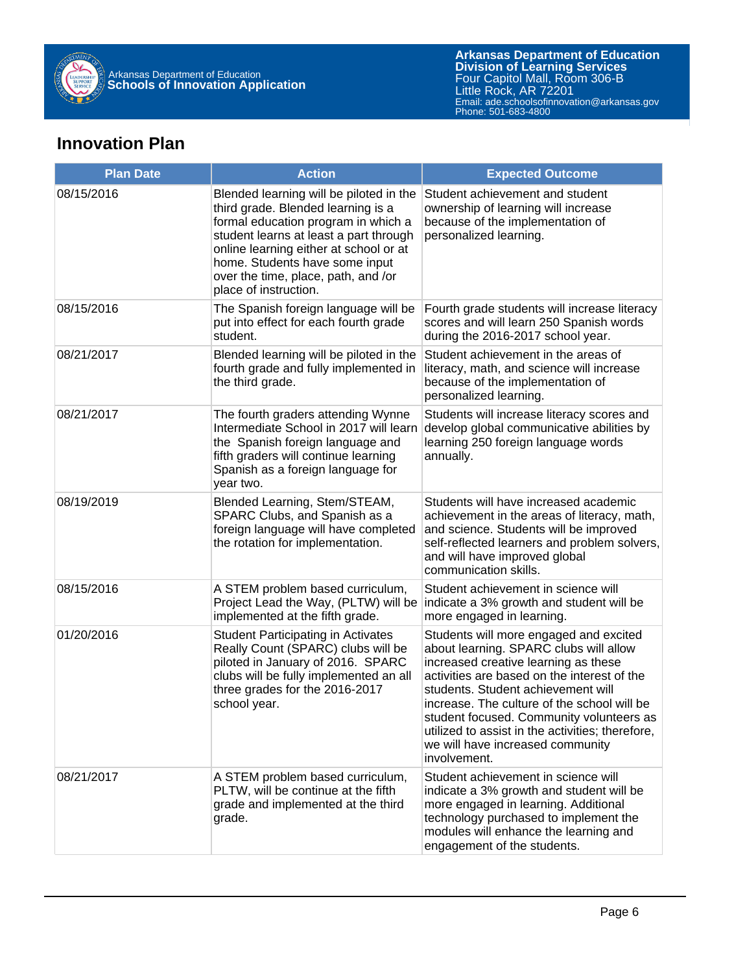

### **Innovation Plan**

| <b>Plan Date</b> | <b>Action</b>                                                                                                                                                                                                                                                                                              | <b>Expected Outcome</b>                                                                                                                                                                                                                                                                                                                                                                                          |
|------------------|------------------------------------------------------------------------------------------------------------------------------------------------------------------------------------------------------------------------------------------------------------------------------------------------------------|------------------------------------------------------------------------------------------------------------------------------------------------------------------------------------------------------------------------------------------------------------------------------------------------------------------------------------------------------------------------------------------------------------------|
| 08/15/2016       | Blended learning will be piloted in the<br>third grade. Blended learning is a<br>formal education program in which a<br>student learns at least a part through<br>online learning either at school or at<br>home. Students have some input<br>over the time, place, path, and /or<br>place of instruction. | Student achievement and student<br>ownership of learning will increase<br>because of the implementation of<br>personalized learning.                                                                                                                                                                                                                                                                             |
| 08/15/2016       | The Spanish foreign language will be<br>put into effect for each fourth grade<br>student.                                                                                                                                                                                                                  | Fourth grade students will increase literacy<br>scores and will learn 250 Spanish words<br>during the 2016-2017 school year.                                                                                                                                                                                                                                                                                     |
| 08/21/2017       | Blended learning will be piloted in the<br>fourth grade and fully implemented in<br>the third grade.                                                                                                                                                                                                       | Student achievement in the areas of<br>literacy, math, and science will increase<br>because of the implementation of<br>personalized learning.                                                                                                                                                                                                                                                                   |
| 08/21/2017       | The fourth graders attending Wynne<br>Intermediate School in 2017 will learn<br>the Spanish foreign language and<br>fifth graders will continue learning<br>Spanish as a foreign language for<br>year two.                                                                                                 | Students will increase literacy scores and<br>develop global communicative abilities by<br>learning 250 foreign language words<br>annually.                                                                                                                                                                                                                                                                      |
| 08/19/2019       | Blended Learning, Stem/STEAM,<br>SPARC Clubs, and Spanish as a<br>foreign language will have completed<br>the rotation for implementation.                                                                                                                                                                 | Students will have increased academic<br>achievement in the areas of literacy, math,<br>and science. Students will be improved<br>self-reflected learners and problem solvers,<br>and will have improved global<br>communication skills.                                                                                                                                                                         |
| 08/15/2016       | A STEM problem based curriculum,<br>Project Lead the Way, (PLTW) will be<br>implemented at the fifth grade.                                                                                                                                                                                                | Student achievement in science will<br>indicate a 3% growth and student will be<br>more engaged in learning.                                                                                                                                                                                                                                                                                                     |
| 01/20/2016       | <b>Student Participating in Activates</b><br>Really Count (SPARC) clubs will be<br>piloted in January of 2016. SPARC<br>clubs will be fully implemented an all<br>three grades for the 2016-2017<br>school year.                                                                                           | Students will more engaged and excited<br>about learning. SPARC clubs will allow<br>increased creative learning as these<br>activities are based on the interest of the<br>students. Student achievement will<br>increase. The culture of the school will be<br>student focused. Community volunteers as<br>utilized to assist in the activities; therefore,<br>we will have increased community<br>involvement. |
| 08/21/2017       | A STEM problem based curriculum,<br>PLTW, will be continue at the fifth<br>grade and implemented at the third<br>grade.                                                                                                                                                                                    | Student achievement in science will<br>indicate a 3% growth and student will be<br>more engaged in learning. Additional<br>technology purchased to implement the<br>modules will enhance the learning and<br>engagement of the students.                                                                                                                                                                         |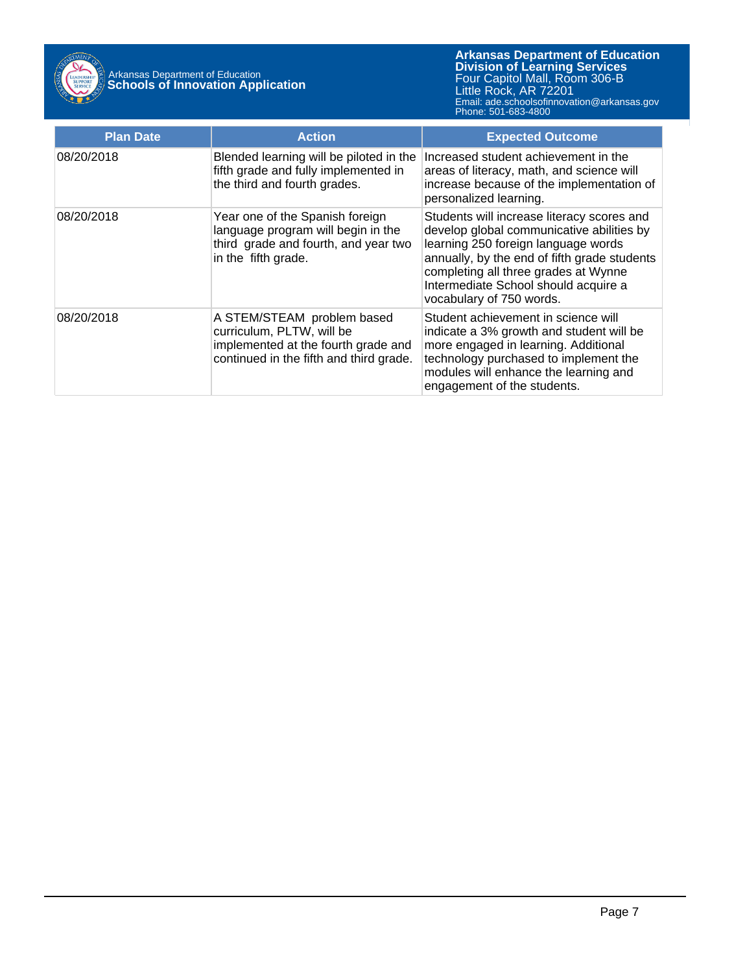

| <b>Plan Date</b> | <b>Action</b>                                                                                                                             | <b>Expected Outcome</b>                                                                                                                                                                                                                                                                    |
|------------------|-------------------------------------------------------------------------------------------------------------------------------------------|--------------------------------------------------------------------------------------------------------------------------------------------------------------------------------------------------------------------------------------------------------------------------------------------|
| 08/20/2018       | Blended learning will be piloted in the<br>fifth grade and fully implemented in<br>the third and fourth grades.                           | Increased student achievement in the<br>areas of literacy, math, and science will<br>increase because of the implementation of<br>personalized learning.                                                                                                                                   |
| 08/20/2018       | Year one of the Spanish foreign<br>language program will begin in the<br>third grade and fourth, and year two<br>in the fifth grade.      | Students will increase literacy scores and<br>develop global communicative abilities by<br>learning 250 foreign language words<br>annually, by the end of fifth grade students<br>completing all three grades at Wynne<br>Intermediate School should acquire a<br>vocabulary of 750 words. |
| 08/20/2018       | A STEM/STEAM problem based<br>curriculum, PLTW, will be<br>implemented at the fourth grade and<br>continued in the fifth and third grade. | Student achievement in science will<br>indicate a 3% growth and student will be<br>more engaged in learning. Additional<br>technology purchased to implement the<br>modules will enhance the learning and<br>engagement of the students.                                                   |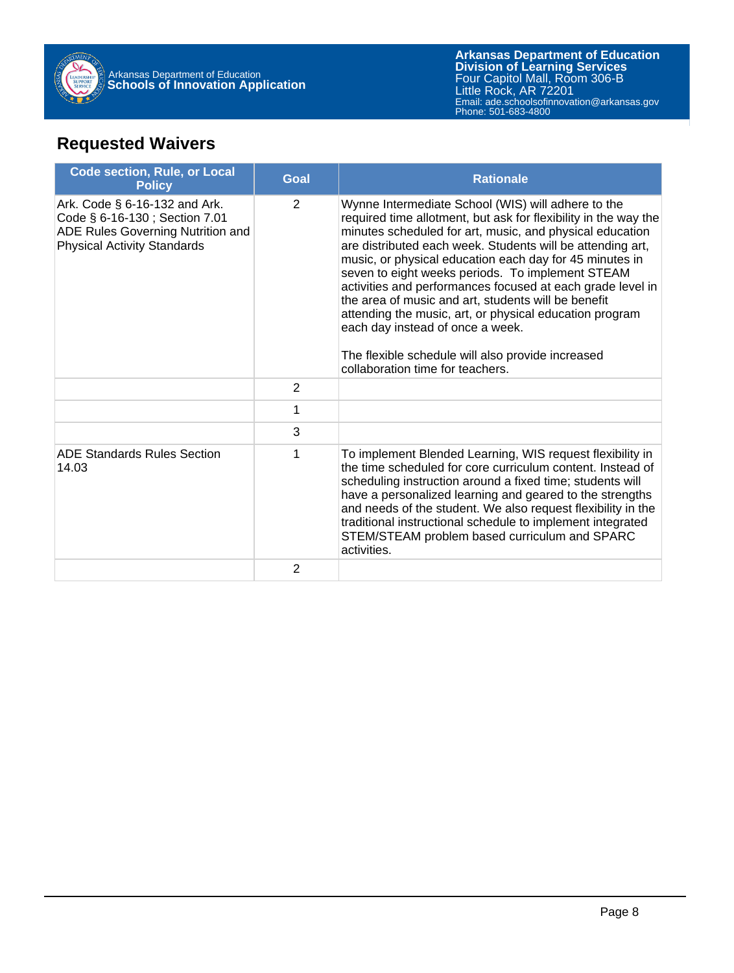

# **Requested Waivers**

| <b>Code section, Rule, or Local</b><br><b>Policy</b>                                                                                      | <b>Goal</b>    | <b>Rationale</b>                                                                                                                                                                                                                                                                                                                                                                                                                                                                                                                                                                                                                                                            |
|-------------------------------------------------------------------------------------------------------------------------------------------|----------------|-----------------------------------------------------------------------------------------------------------------------------------------------------------------------------------------------------------------------------------------------------------------------------------------------------------------------------------------------------------------------------------------------------------------------------------------------------------------------------------------------------------------------------------------------------------------------------------------------------------------------------------------------------------------------------|
| Ark. Code § 6-16-132 and Ark.<br>Code § 6-16-130; Section 7.01<br>ADE Rules Governing Nutrition and<br><b>Physical Activity Standards</b> | $\overline{2}$ | Wynne Intermediate School (WIS) will adhere to the<br>required time allotment, but ask for flexibility in the way the<br>minutes scheduled for art, music, and physical education<br>are distributed each week. Students will be attending art,<br>music, or physical education each day for 45 minutes in<br>seven to eight weeks periods. To implement STEAM<br>activities and performances focused at each grade level in<br>the area of music and art, students will be benefit<br>attending the music, art, or physical education program<br>each day instead of once a week.<br>The flexible schedule will also provide increased<br>collaboration time for teachers. |
|                                                                                                                                           | $\overline{2}$ |                                                                                                                                                                                                                                                                                                                                                                                                                                                                                                                                                                                                                                                                             |
|                                                                                                                                           | 1              |                                                                                                                                                                                                                                                                                                                                                                                                                                                                                                                                                                                                                                                                             |
|                                                                                                                                           | 3              |                                                                                                                                                                                                                                                                                                                                                                                                                                                                                                                                                                                                                                                                             |
| <b>ADE Standards Rules Section</b><br>14.03                                                                                               | 1              | To implement Blended Learning, WIS request flexibility in<br>the time scheduled for core curriculum content. Instead of<br>scheduling instruction around a fixed time; students will<br>have a personalized learning and geared to the strengths<br>and needs of the student. We also request flexibility in the<br>traditional instructional schedule to implement integrated<br>STEM/STEAM problem based curriculum and SPARC<br>activities.                                                                                                                                                                                                                              |
|                                                                                                                                           | $\overline{2}$ |                                                                                                                                                                                                                                                                                                                                                                                                                                                                                                                                                                                                                                                                             |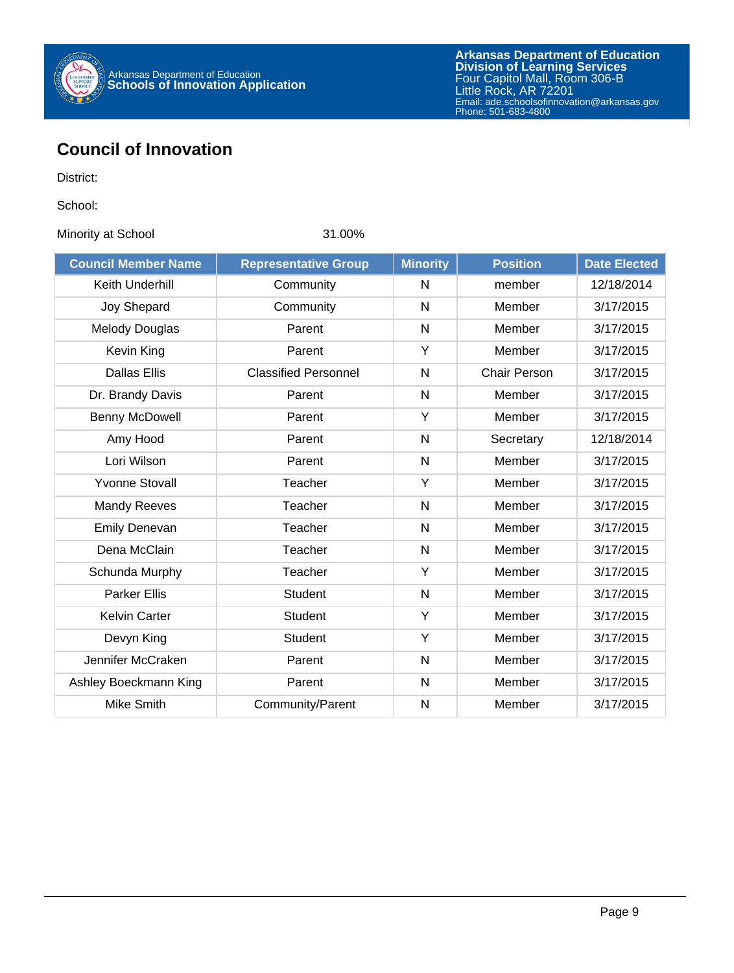

## **Council of Innovation**

District:

School:

Minority at School 31.00%

| <b>Council Member Name</b> | <b>Representative Group</b> | <b>Minority</b> | <b>Position</b>     | <b>Date Elected</b> |
|----------------------------|-----------------------------|-----------------|---------------------|---------------------|
| Keith Underhill            | Community                   | N               | member              | 12/18/2014          |
| Joy Shepard                | Community                   | N               | Member              | 3/17/2015           |
| <b>Melody Douglas</b>      | Parent                      | $\mathsf{N}$    | Member              | 3/17/2015           |
| Kevin King                 | Parent                      | Y               | Member              | 3/17/2015           |
| <b>Dallas Ellis</b>        | <b>Classified Personnel</b> | N               | <b>Chair Person</b> | 3/17/2015           |
| Dr. Brandy Davis           | Parent                      | $\mathsf{N}$    | Member              | 3/17/2015           |
| Benny McDowell             | Parent                      | Y               | Member              | 3/17/2015           |
| Amy Hood                   | Parent                      | $\mathsf{N}$    | Secretary           | 12/18/2014          |
| Lori Wilson                | Parent                      | N               | Member              | 3/17/2015           |
| <b>Yvonne Stovall</b>      | Teacher                     | Y               | Member              | 3/17/2015           |
| <b>Mandy Reeves</b>        | Teacher                     | N               | Member              | 3/17/2015           |
| <b>Emily Denevan</b>       | Teacher                     | N               | Member              | 3/17/2015           |
| Dena McClain               | Teacher                     | $\mathsf{N}$    | Member              | 3/17/2015           |
| Schunda Murphy             | Teacher                     | Y               | Member              | 3/17/2015           |
| <b>Parker Ellis</b>        | <b>Student</b>              | N               | Member              | 3/17/2015           |
| <b>Kelvin Carter</b>       | Student                     | Υ               | Member              | 3/17/2015           |
| Devyn King                 | <b>Student</b>              | Y               | Member              | 3/17/2015           |
| Jennifer McCraken          | Parent                      | $\mathsf{N}$    | Member              | 3/17/2015           |
| Ashley Boeckmann King      | Parent                      | N               | Member              | 3/17/2015           |
| Mike Smith                 | Community/Parent            | N               | Member              | 3/17/2015           |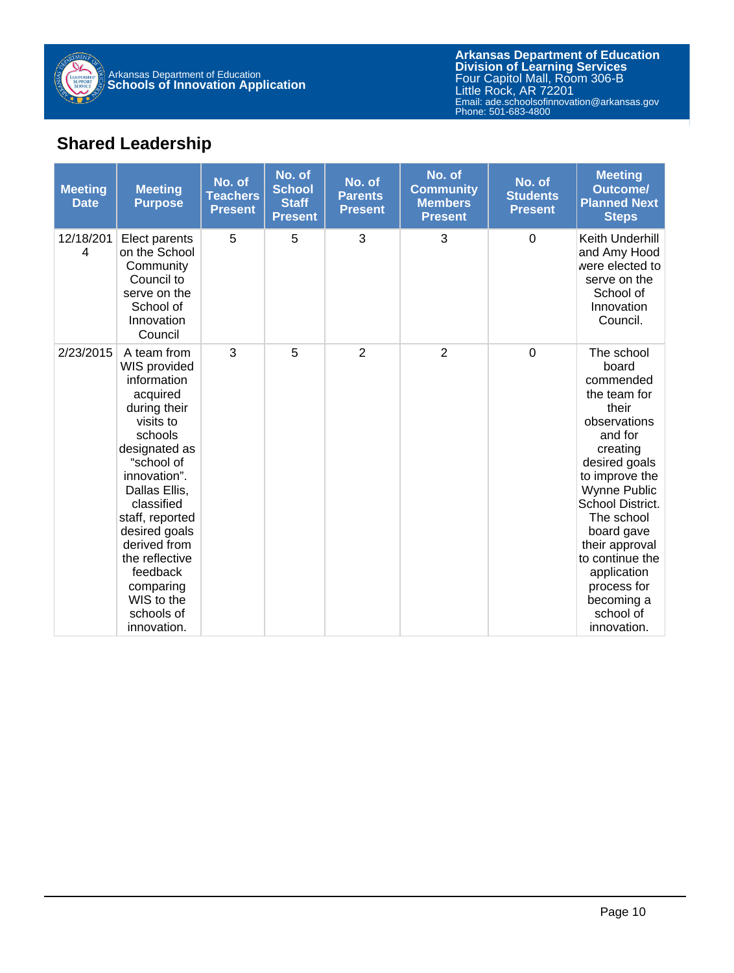

# **Shared Leadership**

| <b>Meeting</b><br><b>Date</b> | <b>Meeting</b><br><b>Purpose</b>                                                                                                                                                                                                                                                                                       | No. of<br><b>Teachers</b><br><b>Present</b> | No. of<br><b>School</b><br><b>Staff</b><br><b>Present</b> | No. of<br><b>Parents</b><br><b>Present</b> | No. of<br><b>Community</b><br><b>Members</b><br><b>Present</b> | No. of<br><b>Students</b><br><b>Present</b> | <b>Meeting</b><br>Outcome/<br><b>Planned Next</b><br><b>Steps</b>                                                                                                                                                                                                                                                       |
|-------------------------------|------------------------------------------------------------------------------------------------------------------------------------------------------------------------------------------------------------------------------------------------------------------------------------------------------------------------|---------------------------------------------|-----------------------------------------------------------|--------------------------------------------|----------------------------------------------------------------|---------------------------------------------|-------------------------------------------------------------------------------------------------------------------------------------------------------------------------------------------------------------------------------------------------------------------------------------------------------------------------|
| 12/18/201<br>4                | Elect parents<br>on the School<br>Community<br>Council to<br>serve on the<br>School of<br>Innovation<br>Council                                                                                                                                                                                                        | 5                                           | 5                                                         | 3                                          | 3                                                              | $\overline{0}$                              | Keith Underhill<br>and Amy Hood<br>were elected to<br>serve on the<br>School of<br>Innovation<br>Council.                                                                                                                                                                                                               |
| 2/23/2015                     | A team from<br>WIS provided<br>information<br>acquired<br>during their<br>visits to<br>schools<br>designated as<br>"school of<br>innovation".<br>Dallas Ellis,<br>classified<br>staff, reported<br>desired goals<br>derived from<br>the reflective<br>feedback<br>comparing<br>WIS to the<br>schools of<br>innovation. | 3                                           | 5                                                         | $\overline{2}$                             | $\overline{2}$                                                 | $\mathbf 0$                                 | The school<br>board<br>commended<br>the team for<br>their<br>observations<br>and for<br>creating<br>desired goals<br>to improve the<br><b>Wynne Public</b><br>School District.<br>The school<br>board gave<br>their approval<br>to continue the<br>application<br>process for<br>becoming a<br>school of<br>innovation. |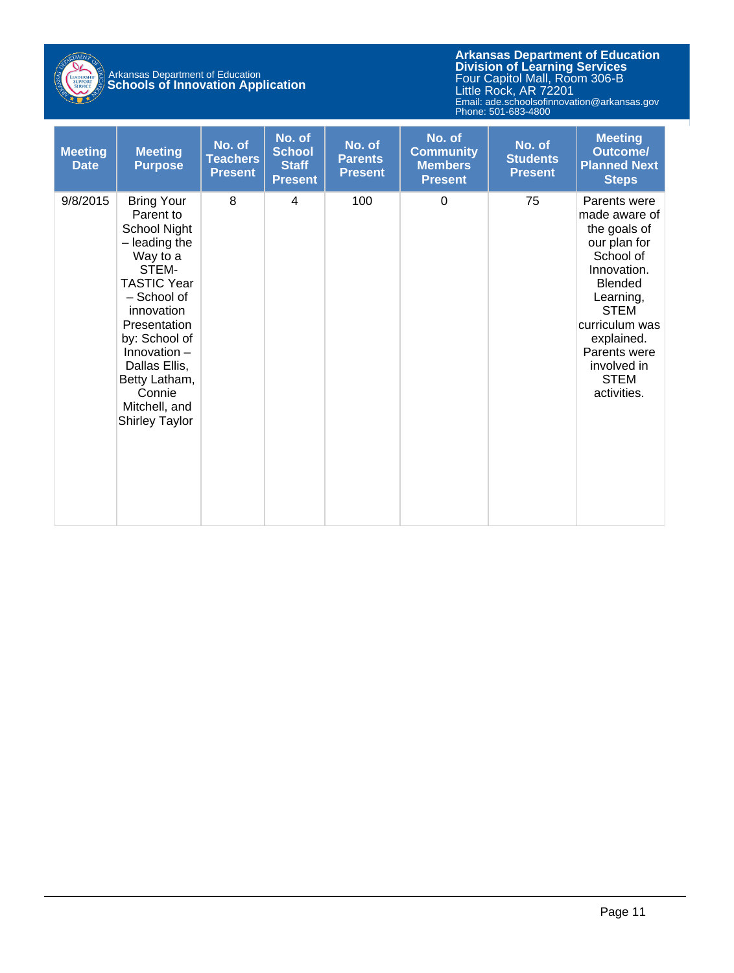

# Arkansas Department of Education **Schools of Innovation Application**

| <b>Meeting</b><br><b>Date</b> | <b>Meeting</b><br><b>Purpose</b>                                                                                                                                                                                                                                                 | No. of<br><b>Teachers</b><br><b>Present</b> | No. of<br><b>School</b><br><b>Staff</b><br><b>Present</b> | No. of<br><b>Parents</b><br><b>Present</b> | No. of<br><b>Community</b><br><b>Members</b><br><b>Present</b> | No. of<br><b>Students</b><br><b>Present</b> | <b>Meeting</b><br><b>Outcome/</b><br><b>Planned Next</b><br><b>Steps</b>                                                                                                                                                             |
|-------------------------------|----------------------------------------------------------------------------------------------------------------------------------------------------------------------------------------------------------------------------------------------------------------------------------|---------------------------------------------|-----------------------------------------------------------|--------------------------------------------|----------------------------------------------------------------|---------------------------------------------|--------------------------------------------------------------------------------------------------------------------------------------------------------------------------------------------------------------------------------------|
| 9/8/2015                      | <b>Bring Your</b><br>Parent to<br>School Night<br>- leading the<br>Way to a<br>STEM-<br><b>TASTIC Year</b><br>- School of<br>innovation<br>Presentation<br>by: School of<br>Innovation $-$<br>Dallas Ellis,<br>Betty Latham,<br>Connie<br>Mitchell, and<br><b>Shirley Taylor</b> | 8                                           | 4                                                         | 100                                        | $\mathbf 0$                                                    | 75                                          | Parents were<br>made aware of<br>the goals of<br>our plan for<br>School of<br>Innovation.<br><b>Blended</b><br>Learning,<br><b>STEM</b><br>curriculum was<br>explained.<br>Parents were<br>involved in<br><b>STEM</b><br>activities. |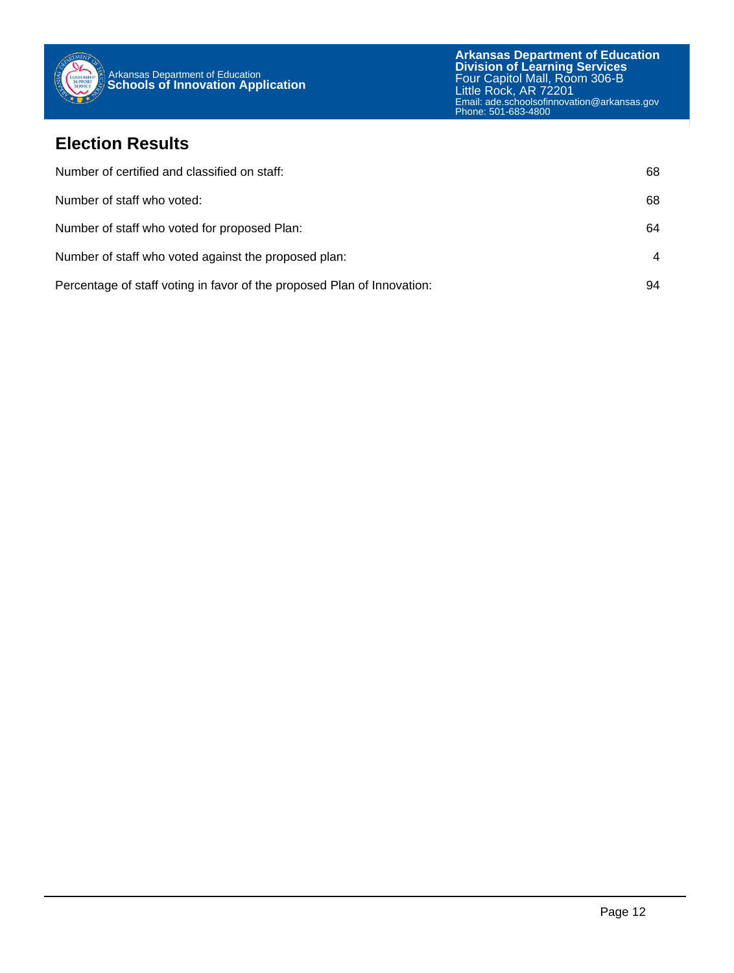

#### **Election Results**

| Number of certified and classified on staff:                            | 68 |
|-------------------------------------------------------------------------|----|
| Number of staff who voted:                                              | 68 |
| Number of staff who voted for proposed Plan:                            | 64 |
| Number of staff who voted against the proposed plan:                    | 4  |
| Percentage of staff voting in favor of the proposed Plan of Innovation: | 94 |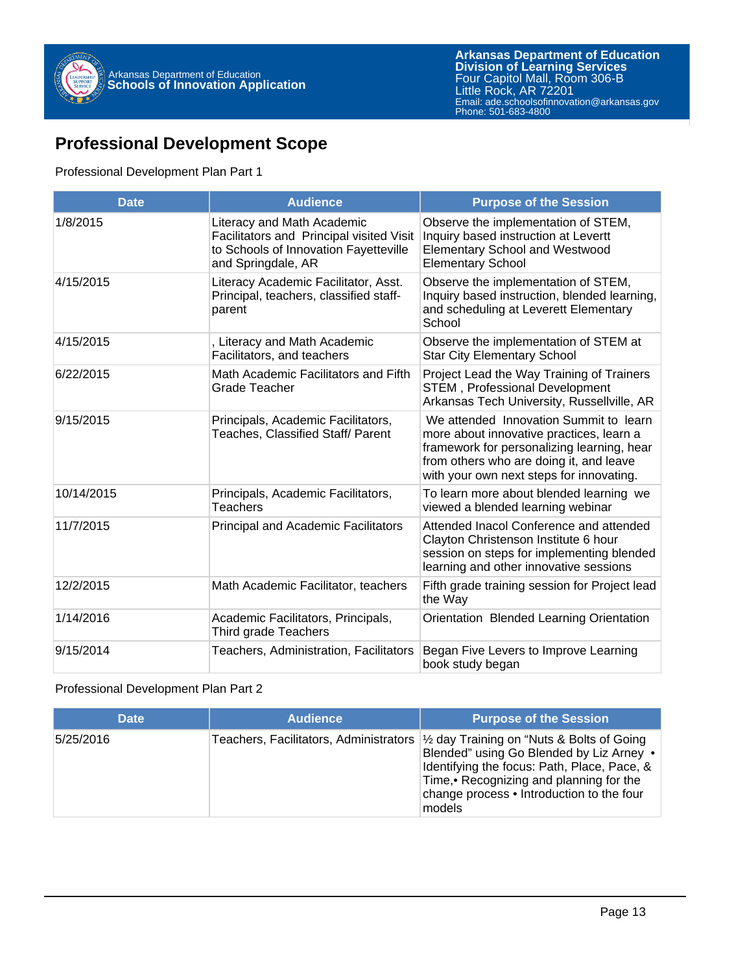

## **Professional Development Scope**

#### Professional Development Plan Part 1

| <b>Date</b> | <b>Audience</b>                                                                                                                       | <b>Purpose of the Session</b>                                                                                                                                                                                           |
|-------------|---------------------------------------------------------------------------------------------------------------------------------------|-------------------------------------------------------------------------------------------------------------------------------------------------------------------------------------------------------------------------|
| 1/8/2015    | Literacy and Math Academic<br>Facilitators and Principal visited Visit<br>to Schools of Innovation Fayetteville<br>and Springdale, AR | Observe the implementation of STEM,<br>Inquiry based instruction at Levertt<br><b>Elementary School and Westwood</b><br><b>Elementary School</b>                                                                        |
| 4/15/2015   | Literacy Academic Facilitator, Asst.<br>Principal, teachers, classified staff-<br>parent                                              | Observe the implementation of STEM,<br>Inquiry based instruction, blended learning,<br>and scheduling at Leverett Elementary<br>School                                                                                  |
| 4/15/2015   | , Literacy and Math Academic<br>Facilitators, and teachers                                                                            | Observe the implementation of STEM at<br><b>Star City Elementary School</b>                                                                                                                                             |
| 6/22/2015   | Math Academic Facilitators and Fifth<br><b>Grade Teacher</b>                                                                          | Project Lead the Way Training of Trainers<br><b>STEM</b> , Professional Development<br>Arkansas Tech University, Russellville, AR                                                                                       |
| 9/15/2015   | Principals, Academic Facilitators,<br>Teaches, Classified Staff/ Parent                                                               | We attended Innovation Summit to learn<br>more about innovative practices, learn a<br>framework for personalizing learning, hear<br>from others who are doing it, and leave<br>with your own next steps for innovating. |
| 10/14/2015  | Principals, Academic Facilitators,<br><b>Teachers</b>                                                                                 | To learn more about blended learning we<br>viewed a blended learning webinar                                                                                                                                            |
| 11/7/2015   | <b>Principal and Academic Facilitators</b>                                                                                            | Attended Inacol Conference and attended<br>Clayton Christenson Institute 6 hour<br>session on steps for implementing blended<br>learning and other innovative sessions                                                  |
| 12/2/2015   | Math Academic Facilitator, teachers                                                                                                   | Fifth grade training session for Project lead<br>the Way                                                                                                                                                                |
| 1/14/2016   | Academic Facilitators, Principals,<br>Third grade Teachers                                                                            | Orientation Blended Learning Orientation                                                                                                                                                                                |
| 9/15/2014   | Teachers, Administration, Facilitators                                                                                                | Began Five Levers to Improve Learning<br>book study began                                                                                                                                                               |

#### Professional Development Plan Part 2

| <b>Date</b> | <b>Audience</b> | <b>Purpose of the Session</b>                                                                                                                                                                                                                                                             |
|-------------|-----------------|-------------------------------------------------------------------------------------------------------------------------------------------------------------------------------------------------------------------------------------------------------------------------------------------|
| 5/25/2016   |                 | Teachers, Facilitators, Administrators $\frac{1}{2}$ day Training on "Nuts & Bolts of Going<br>Blended" using Go Blended by Liz Arney .<br>Identifying the focus: Path, Place, Pace, &<br>Time, • Recognizing and planning for the<br>change process • Introduction to the four<br>models |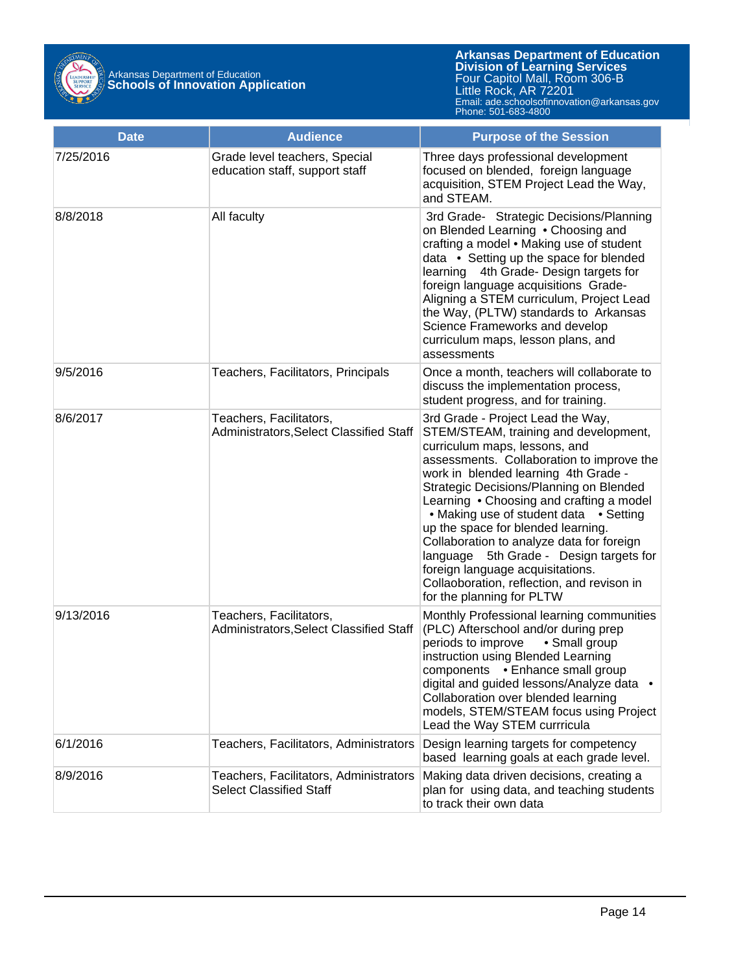

| <b>Date</b> | <b>Audience</b>                                                          | <b>Purpose of the Session</b>                                                                                                                                                                                                                                                                                                                                                                                                                                                                                                                                                     |
|-------------|--------------------------------------------------------------------------|-----------------------------------------------------------------------------------------------------------------------------------------------------------------------------------------------------------------------------------------------------------------------------------------------------------------------------------------------------------------------------------------------------------------------------------------------------------------------------------------------------------------------------------------------------------------------------------|
| 7/25/2016   | Grade level teachers, Special<br>education staff, support staff          | Three days professional development<br>focused on blended, foreign language<br>acquisition, STEM Project Lead the Way,<br>and STEAM.                                                                                                                                                                                                                                                                                                                                                                                                                                              |
| 8/8/2018    | All faculty                                                              | 3rd Grade- Strategic Decisions/Planning<br>on Blended Learning . Choosing and<br>crafting a model . Making use of student<br>data • Setting up the space for blended<br>learning 4th Grade- Design targets for<br>foreign language acquisitions Grade-<br>Aligning a STEM curriculum, Project Lead<br>the Way, (PLTW) standards to Arkansas<br>Science Frameworks and develop<br>curriculum maps, lesson plans, and<br>assessments                                                                                                                                                |
| 9/5/2016    | Teachers, Facilitators, Principals                                       | Once a month, teachers will collaborate to<br>discuss the implementation process,<br>student progress, and for training.                                                                                                                                                                                                                                                                                                                                                                                                                                                          |
| 8/6/2017    | Teachers, Facilitators,<br>Administrators, Select Classified Staff       | 3rd Grade - Project Lead the Way,<br>STEM/STEAM, training and development,<br>curriculum maps, lessons, and<br>assessments. Collaboration to improve the<br>work in blended learning 4th Grade -<br>Strategic Decisions/Planning on Blended<br>Learning • Choosing and crafting a model<br>• Making use of student data • Setting<br>up the space for blended learning.<br>Collaboration to analyze data for foreign<br>5th Grade - Design targets for<br>language<br>foreign language acquisitations.<br>Collaoboration, reflection, and revison in<br>for the planning for PLTW |
| 9/13/2016   | Teachers, Facilitators,<br>Administrators, Select Classified Staff       | Monthly Professional learning communities<br>(PLC) Afterschool and/or during prep<br>periods to improve<br>• Small group<br>instruction using Blended Learning<br>components . Enhance small group<br>digital and guided lessons/Analyze data •<br>Collaboration over blended learning<br>models, STEM/STEAM focus using Project<br>Lead the Way STEM currricula                                                                                                                                                                                                                  |
| 6/1/2016    | Teachers, Facilitators, Administrators                                   | Design learning targets for competency<br>based learning goals at each grade level.                                                                                                                                                                                                                                                                                                                                                                                                                                                                                               |
| 8/9/2016    | Teachers, Facilitators, Administrators<br><b>Select Classified Staff</b> | Making data driven decisions, creating a<br>plan for using data, and teaching students<br>to track their own data                                                                                                                                                                                                                                                                                                                                                                                                                                                                 |